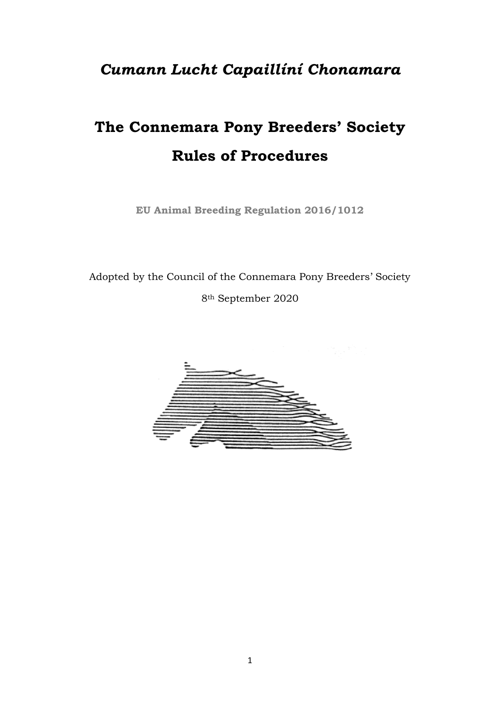## *Cumann Lucht Capaillíní Chonamara*

# **The Connemara Pony Breeders' Society Rules of Procedures**

**EU Animal Breeding Regulation 2016/1012** 

Adopted by the Council of the Connemara Pony Breeders' Society 8th September 2020

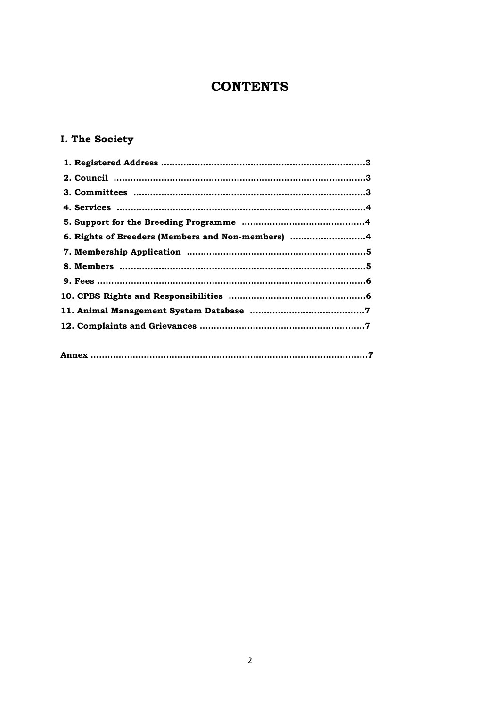## **CONTENTS**

### **I. The Society**

| 6. Rights of Breeders (Members and Non-members) 4 |  |
|---------------------------------------------------|--|
|                                                   |  |
|                                                   |  |
|                                                   |  |
|                                                   |  |
|                                                   |  |
|                                                   |  |
|                                                   |  |
|                                                   |  |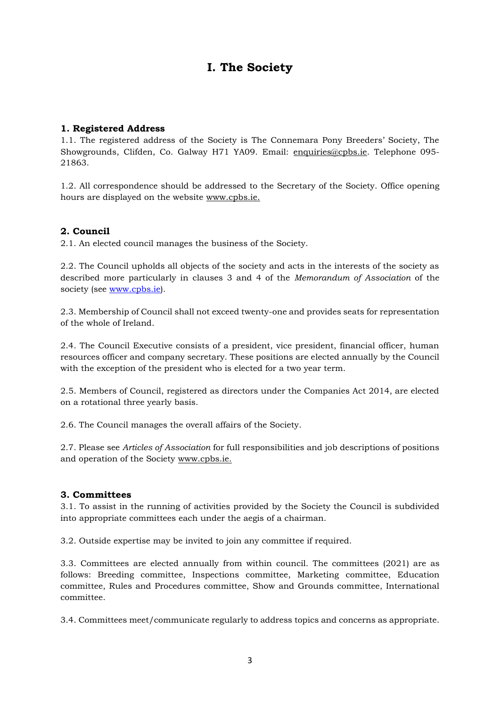## **I. The Society**

#### **1. Registered Address**

1.1. The registered address of the Society is The Connemara Pony Breeders' Society, The Showgrounds, Clifden, Co. Galway H71 YA09. Email: [enquiries@cpbs.ie.](mailto:enquiries@cpbs.ie) Telephone 095- 21863.

1.2. All correspondence should be addressed to the Secretary of the Society. Office opening hours are displayed on the website www.cpbs.ie.

#### **2. Council**

2.1. An elected council manages the business of the Society.

2.2. The Council upholds all objects of the society and acts in the interests of the society as described more particularly in clauses 3 and 4 of the *Memorandum of Association* of the society (see [www.cpbs.ie\)](http://www.cpbs.ie/).

2.3. Membership of Council shall not exceed twenty-one and provides seats for representation of the whole of Ireland.

2.4. The Council Executive consists of a president, vice president, financial officer, human resources officer and company secretary. These positions are elected annually by the Council with the exception of the president who is elected for a two year term.

2.5. Members of Council, registered as directors under the Companies Act 2014, are elected on a rotational three yearly basis.

2.6. The Council manages the overall affairs of the Society.

2.7. Please see *Articles of Association* for full responsibilities and job descriptions of positions and operation of the Society www.cpbs.ie.

#### **3. Committees**

3.1. To assist in the running of activities provided by the Society the Council is subdivided into appropriate committees each under the aegis of a chairman.

3.2. Outside expertise may be invited to join any committee if required.

3.3. Committees are elected annually from within council. The committees (2021) are as follows: Breeding committee, Inspections committee, Marketing committee, Education committee, Rules and Procedures committee, Show and Grounds committee, International committee.

3.4. Committees meet/communicate regularly to address topics and concerns as appropriate.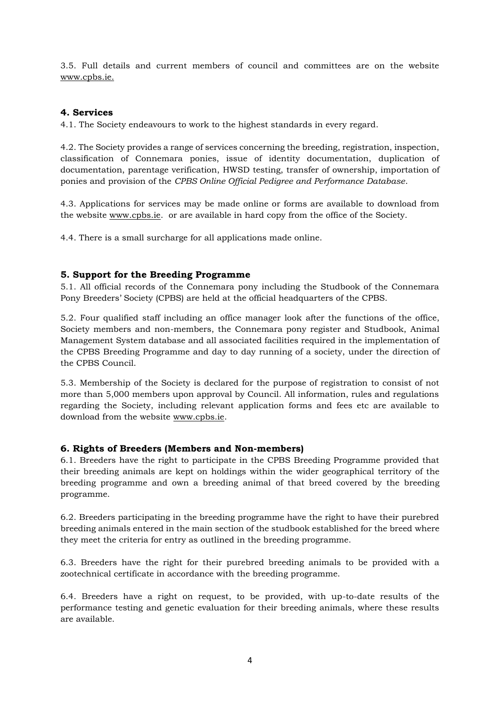3.5. Full details and current members of council and committees are on the website www.cpbs.ie.

#### **4. Services**

4.1. The Society endeavours to work to the highest standards in every regard.

4.2. The Society provides a range of services concerning the breeding, registration, inspection, classification of Connemara ponies, issue of identity documentation, duplication of documentation, parentage verification, HWSD testing, transfer of ownership, importation of ponies and provision of the *CPBS Online Official Pedigree and Performance Database*.

4.3. Applications for services may be made online or forms are available to download from the website [www.cpbs.ie.](http://www.cpbs.ie/) or are available in hard copy from the office of the Society.

4.4. There is a small surcharge for all applications made online.

#### **5. Support for the Breeding Programme**

5.1. All official records of the Connemara pony including the Studbook of the Connemara Pony Breeders' Society (CPBS) are held at the official headquarters of the CPBS.

5.2. Four qualified staff including an office manager look after the functions of the office, Society members and non-members, the Connemara pony register and Studbook, Animal Management System database and all associated facilities required in the implementation of the CPBS Breeding Programme and day to day running of a society, under the direction of the CPBS Council.

5.3. Membership of the Society is declared for the purpose of registration to consist of not more than 5,000 members upon approval by Council. All information, rules and regulations regarding the Society, including relevant application forms and fees etc are available to download from the website www.cpbs.ie.

#### **6. Rights of Breeders (Members and Non-members)**

6.1. Breeders have the right to participate in the CPBS Breeding Programme provided that their breeding animals are kept on holdings within the wider geographical territory of the breeding programme and own a breeding animal of that breed covered by the breeding programme.

6.2. Breeders participating in the breeding programme have the right to have their purebred breeding animals entered in the main section of the studbook established for the breed where they meet the criteria for entry as outlined in the breeding programme.

6.3. Breeders have the right for their purebred breeding animals to be provided with a zootechnical certificate in accordance with the breeding programme.

6.4. Breeders have a right on request, to be provided, with up-to-date results of the performance testing and genetic evaluation for their breeding animals, where these results are available.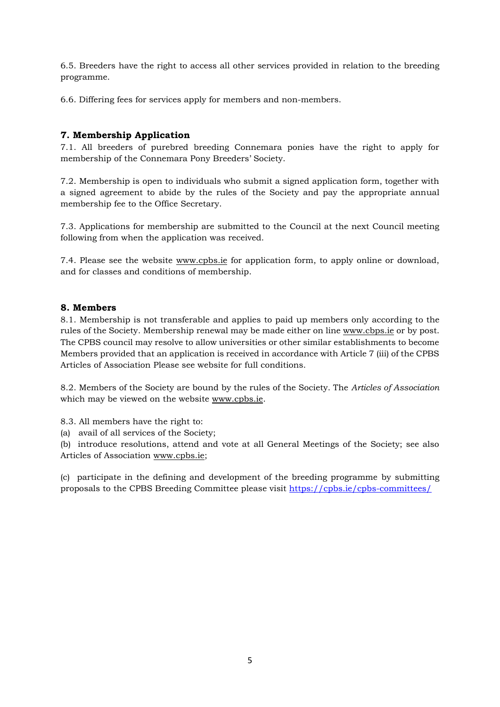6.5. Breeders have the right to access all other services provided in relation to the breeding programme.

6.6. Differing fees for services apply for members and non-members.

#### **7. Membership Application**

7.1. All breeders of purebred breeding Connemara ponies have the right to apply for membership of the Connemara Pony Breeders' Society.

7.2. Membership is open to individuals who submit a signed application form, together with a signed agreement to abide by the rules of the Society and pay the appropriate annual membership fee to the Office Secretary.

7.3. Applications for membership are submitted to the Council at the next Council meeting following from when the application was received.

7.4. Please see the website www.cpbs.ie for application form, to apply online or download, and for classes and conditions of membership.

#### **8. Members**

8.1. Membership is not transferable and applies to paid up members only according to the rules of the Society. Membership renewal may be made either on line [www.cbps.ie](http://www.cbps.ie/) or by post. The CPBS council may resolve to allow universities or other similar establishments to become Members provided that an application is received in accordance with Article 7 (iii) of the CPBS Articles of Association Please see website for full conditions.

8.2. Members of the Society are bound by the rules of the Society. The *Articles of Association* which may be viewed on the website www.cpbs.ie.

8.3. All members have the right to:

(a) avail of all services of the Society;

(b) introduce resolutions, attend and vote at all General Meetings of the Society; see also Articles of Association www.cpbs.ie;

(c) participate in the defining and development of the breeding programme by submitting proposals to the CPBS Breeding Committee please visit<https://cpbs.ie/cpbs-committees/>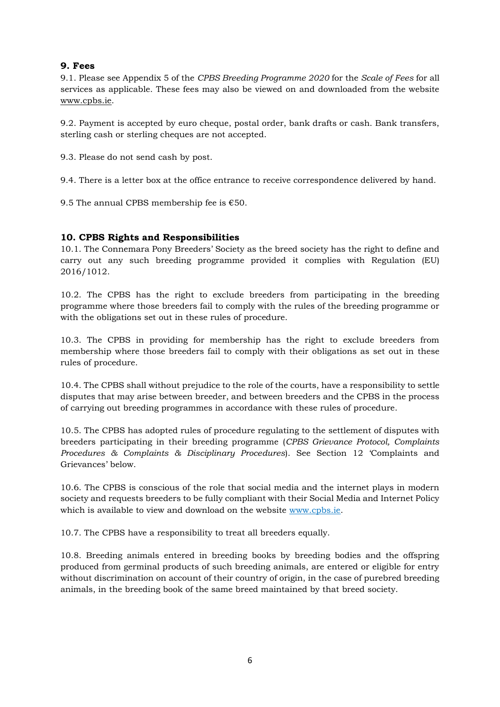#### **9. Fees**

9.1. Please see Appendix 5 of the *CPBS Breeding Programme 2020* for the *Scale of Fees* for all services as applicable. These fees may also be viewed on and downloaded from the website [www.cpbs.ie.](http://www.cpbs.ie/)

9.2. Payment is accepted by euro cheque, postal order, bank drafts or cash. Bank transfers, sterling cash or sterling cheques are not accepted.

9.3. Please do not send cash by post.

9.4. There is a letter box at the office entrance to receive correspondence delivered by hand.

9.5 The annual CPBS membership fee is  $€50$ .

#### **10. CPBS Rights and Responsibilities**

10.1. The Connemara Pony Breeders' Society as the breed society has the right to define and carry out any such breeding programme provided it complies with Regulation (EU) 2016/1012.

10.2. The CPBS has the right to exclude breeders from participating in the breeding programme where those breeders fail to comply with the rules of the breeding programme or with the obligations set out in these rules of procedure.

10.3. The CPBS in providing for membership has the right to exclude breeders from membership where those breeders fail to comply with their obligations as set out in these rules of procedure.

10.4. The CPBS shall without prejudice to the role of the courts, have a responsibility to settle disputes that may arise between breeder, and between breeders and the CPBS in the process of carrying out breeding programmes in accordance with these rules of procedure.

10.5. The CPBS has adopted rules of procedure regulating to the settlement of disputes with breeders participating in their breeding programme (*CPBS Grievance Protocol, Complaints Procedures & Complaints & Disciplinary Procedures*). See Section 12 'Complaints and Grievances' below.

10.6. The CPBS is conscious of the role that social media and the internet plays in modern society and requests breeders to be fully compliant with their Social Media and Internet Policy which is available to view and download on the website www.cpbs.ie.

10.7. The CPBS have a responsibility to treat all breeders equally.

10.8. Breeding animals entered in breeding books by breeding bodies and the offspring produced from germinal products of such breeding animals, are entered or eligible for entry without discrimination on account of their country of origin, in the case of purebred breeding animals, in the breeding book of the same breed maintained by that breed society.